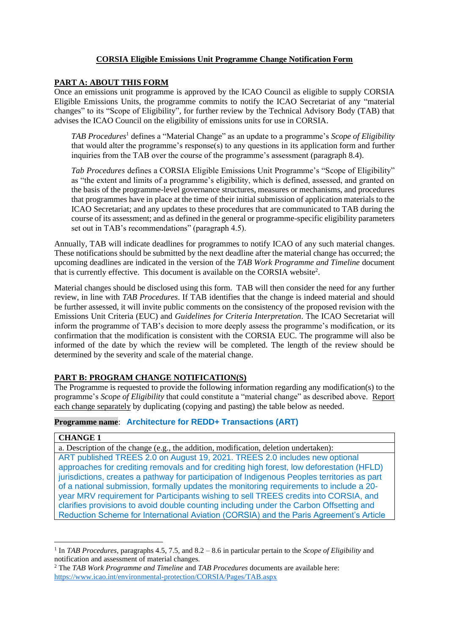# **CORSIA Eligible Emissions Unit Programme Change Notification Form**

### **PART A: ABOUT THIS FORM**

Once an emissions unit programme is approved by the ICAO Council as eligible to supply CORSIA Eligible Emissions Units, the programme commits to notify the ICAO Secretariat of any "material changes" to its "Scope of Eligibility"*,* for further review by the Technical Advisory Body (TAB) that advises the ICAO Council on the eligibility of emissions units for use in CORSIA.

*TAB Procedures*<sup>1</sup> defines a "Material Change" as an update to a programme's *Scope of Eligibility* that would alter the programme's response(s) to any questions in its application form and further inquiries from the TAB over the course of the programme's assessment (paragraph 8.4).

*Tab Procedures* defines a CORSIA Eligible Emissions Unit Programme's "Scope of Eligibility" as "the extent and limits of a programme's eligibility, which is defined, assessed, and granted on the basis of the programme-level governance structures, measures or mechanisms, and procedures that programmes have in place at the time of their initial submission of application materials to the ICAO Secretariat; and any updates to these procedures that are communicated to TAB during the course of its assessment; and as defined in the general or programme-specific eligibility parameters set out in TAB's recommendations" (paragraph 4.5).

Annually, TAB will indicate deadlines for programmes to notify ICAO of any such material changes. These notifications should be submitted by the next deadline after the material change has occurred; the upcoming deadlines are indicated in the version of the *TAB Work Programme and Timeline* document that is currently effective. This document is available on the CORSIA website<sup>2</sup>.

Material changes should be disclosed using this form. TAB will then consider the need for any further review, in line with *TAB Procedures*. If TAB identifies that the change is indeed material and should be further assessed, it will invite public comments on the consistency of the proposed revision with the Emissions Unit Criteria (EUC) and *Guidelines for Criteria Interpretation*. The ICAO Secretariat will inform the programme of TAB's decision to more deeply assess the programme's modification, or its confirmation that the modification is consistent with the CORSIA EUC. The programme will also be informed of the date by which the review will be completed. The length of the review should be determined by the severity and scale of the material change.

# **PART B: PROGRAM CHANGE NOTIFICATION(S)**

The Programme is requested to provide the following information regarding any modification(s) to the programme's *Scope of Eligibility* that could constitute a "material change" as described above. Report each change separately by duplicating (copying and pasting) the table below as needed.

# **Programme name**: **Architecture for REDD+ Transactions (ART)**

# **CHANGE 1**

a. Description of the change (e.g., the addition, modification, deletion undertaken): ART published TREES 2.0 on August 19, 2021. TREES 2.0 includes new optional approaches for crediting removals and for crediting high forest, low deforestation (HFLD) jurisdictions, creates a pathway for participation of Indigenous Peoples territories as part of a national submission, formally updates the monitoring requirements to include a 20 year MRV requirement for Participants wishing to sell TREES credits into CORSIA, and clarifies provisions to avoid double counting including under the Carbon Offsetting and Reduction Scheme for International Aviation (CORSIA) and the Paris Agreement's Article

<sup>1</sup> In *TAB Procedures*, paragraphs 4.5, 7.5, and 8.2 – 8.6 in particular pertain to the *Scope of Eligibility* and notification and assessment of material changes.

<sup>2</sup> The *TAB Work Programme and Timeline* and *TAB Procedures* documents are available here: <https://www.icao.int/environmental-protection/CORSIA/Pages/TAB.aspx>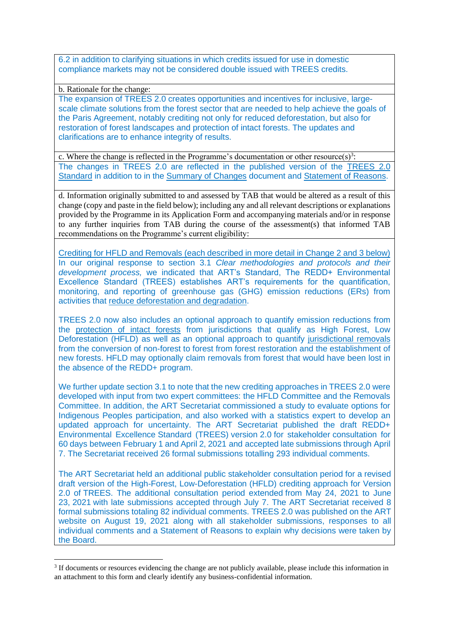6.2 in addition to clarifying situations in which credits issued for use in domestic compliance markets may not be considered double issued with TREES credits.

b. Rationale for the change:

The expansion of TREES 2.0 creates opportunities and incentives for inclusive, largescale climate solutions from the forest sector that are needed to help achieve the goals of the Paris Agreement, notably crediting not only for reduced deforestation, but also for restoration of forest landscapes and protection of intact forests. The updates and clarifications are to enhance integrity of results.

c. Where the change is reflected in the Programme's documentation or other resource(s)<sup>3</sup>: The changes in TREES 2.0 are reflected in the published version of the [TREES 2.0](https://www.artredd.org/wp-content/uploads/2021/08/TREES-2.0-August-2021-Clean.pdf)  [Standard](https://www.artredd.org/wp-content/uploads/2021/08/TREES-2.0-August-2021-Clean.pdf) in addition to in the [Summary of Changes](https://www.artredd.org/wp-content/uploads/2021/08/Summary-of-Changes-TREES-2.0-August-2021.pdf) document and [Statement of Reasons.](https://www.artredd.org/wp-content/uploads/2021/08/TREES-2.0-Statement-of-Reasons-August-2021.pdf)

d. Information originally submitted to and assessed by TAB that would be altered as a result of this change (copy and paste in the field below); including any and all relevant descriptions or explanations provided by the Programme in its Application Form and accompanying materials and/or in response to any further inquiries from TAB during the course of the assessment(s) that informed TAB recommendations on the Programme's current eligibility:

Crediting for HFLD and Removals (each described in more detail in Change 2 and 3 below) In our original response to section 3.1 *Clear methodologies and protocols and their development process,* we indicated that ART's Standard, The REDD+ Environmental Excellence Standard (TREES) establishes ART's requirements for the quantification, monitoring, and reporting of greenhouse gas (GHG) emission reductions (ERs) from activities that reduce deforestation and degradation.

TREES 2.0 now also includes an optional approach to quantify emission reductions from the protection of intact forests from jurisdictions that qualify as High Forest, Low Deforestation (HFLD) as well as an optional approach to quantify jurisdictional removals from the conversion of non-forest to forest from forest restoration and the establishment of new forests. HFLD may optionally claim removals from forest that would have been lost in the absence of the REDD+ program.

We further update section 3.1 to note that the new crediting approaches in TREES 2.0 were developed with input from two expert committees: the HFLD Committee and the Removals Committee. In addition, the ART Secretariat commissioned a study to evaluate options for Indigenous Peoples participation, and also worked with a statistics expert to develop an updated approach for uncertainty. The ART Secretariat published the draft REDD+ Environmental Excellence Standard (TREES) version 2.0 for stakeholder consultation for 60 days between February 1 and April 2, 2021 and accepted late submissions through April 7. The Secretariat received 26 formal submissions totalling 293 individual comments.

The ART Secretariat held an additional public stakeholder consultation period for a revised draft version of the High-Forest, Low-Deforestation (HFLD) crediting approach for Version 2.0 of TREES. The additional consultation period extended from May 24, 2021 to June 23, 2021 with late submissions accepted through July 7. The ART Secretariat received 8 formal submissions totaling 82 individual comments. TREES 2.0 was published on the ART website on August 19, 2021 along with all stakeholder submissions, responses to all individual comments and a Statement of Reasons to explain why decisions were taken by the Board.

<sup>&</sup>lt;sup>3</sup> If documents or resources evidencing the change are not publicly available, please include this information in an attachment to this form and clearly identify any business-confidential information.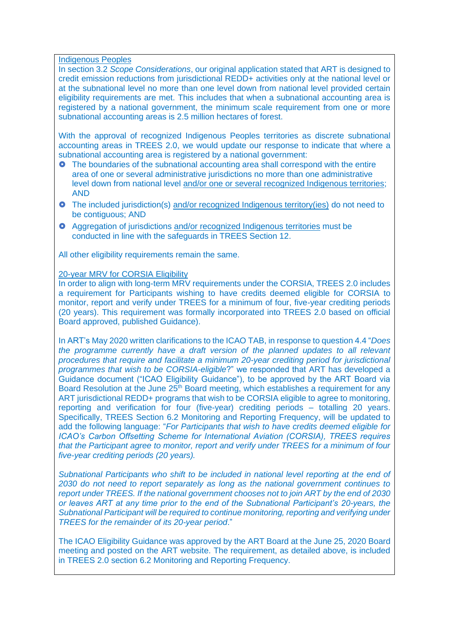Indigenous Peoples

In section 3.2 *Scope Considerations*, our original application stated that ART is designed to credit emission reductions from jurisdictional REDD+ activities only at the national level or at the subnational level no more than one level down from national level provided certain eligibility requirements are met. This includes that when a subnational accounting area is registered by a national government, the minimum scale requirement from one or more subnational accounting areas is 2.5 million hectares of forest.

With the approval of recognized Indigenous Peoples territories as discrete subnational accounting areas in TREES 2.0, we would update our response to indicate that where a subnational accounting area is registered by a national government:

- **O** The boundaries of the subnational accounting area shall correspond with the entire area of one or several administrative jurisdictions no more than one administrative level down from national level and/or one or several recognized Indigenous territories; AND
- The included jurisdiction(s) and/or recognized Indigenous territory(ies) do not need to be contiguous; AND
- Aggregation of jurisdictions and/or recognized Indigenous territories must be conducted in line with the safeguards in TREES Section 12.

All other eligibility requirements remain the same.

#### 20-year MRV for CORSIA Eligibility

In order to align with long-term MRV requirements under the CORSIA, TREES 2.0 includes a requirement for Participants wishing to have credits deemed eligible for CORSIA to monitor, report and verify under TREES for a minimum of four, five-year crediting periods (20 years). This requirement was formally incorporated into TREES 2.0 based on official Board approved, published Guidance).

In ART's May 2020 written clarifications to the ICAO TAB, in response to question 4.4 "*Does*  the programme currently have a draft version of the planned updates to all relevant *procedures that require and facilitate a minimum 20-year crediting period for jurisdictional programmes that wish to be CORSIA-eligible*?" we responded that ART has developed a Guidance document ("ICAO Eligibility Guidance"), to be approved by the ART Board via Board Resolution at the June 25<sup>th</sup> Board meeting, which establishes a requirement for any ART jurisdictional REDD+ programs that wish to be CORSIA eligible to agree to monitoring, reporting and verification for four (five-year) crediting periods – totalling 20 years. Specifically, TREES Section 6.2 Monitoring and Reporting Frequency, will be updated to add the following language: "*For Participants that wish to have credits deemed eligible for ICAO's Carbon Offsetting Scheme for International Aviation (CORSIA), TREES requires that the Participant agree to monitor, report and verify under TREES for a minimum of four five-year crediting periods (20 years).* 

*Subnational Participants who shift to be included in national level reporting at the end of 2030 do not need to report separately as long as the national government continues to report under TREES. If the national government chooses not to join ART by the end of 2030 or leaves ART at any time prior to the end of the Subnational Participant's 20-years, the Subnational Participant will be required to continue monitoring, reporting and verifying under TREES for the remainder of its 20-year period*."

The ICAO Eligibility Guidance was approved by the ART Board at the June 25, 2020 Board meeting and posted on the ART website. The requirement, as detailed above, is included in TREES 2.0 section 6.2 Monitoring and Reporting Frequency.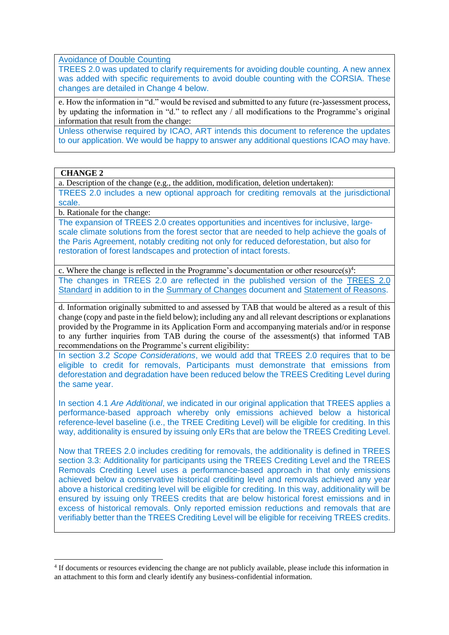Avoidance of Double Counting

TREES 2.0 was updated to clarify requirements for avoiding double counting. A new annex was added with specific requirements to avoid double counting with the CORSIA. These changes are detailed in Change 4 below.

e. How the information in "d." would be revised and submitted to any future (re-)assessment process, by updating the information in "d." to reflect any / all modifications to the Programme's original information that result from the change:

Unless otherwise required by ICAO, ART intends this document to reference the updates to our application. We would be happy to answer any additional questions ICAO may have.

**CHANGE 2**

a. Description of the change (e.g., the addition, modification, deletion undertaken): TREES 2.0 includes a new optional approach for crediting removals at the jurisdictional scale.

b. Rationale for the change:

The expansion of TREES 2.0 creates opportunities and incentives for inclusive, largescale climate solutions from the forest sector that are needed to help achieve the goals of the Paris Agreement, notably crediting not only for reduced deforestation, but also for restoration of forest landscapes and protection of intact forests.

c. Where the change is reflected in the Programme's documentation or other resource(s)<sup>4</sup>: The changes in TREES 2.0 are reflected in the published version of the [TREES 2.0](https://www.artredd.org/wp-content/uploads/2021/08/TREES-2.0-August-2021-Clean.pdf)  [Standard](https://www.artredd.org/wp-content/uploads/2021/08/TREES-2.0-August-2021-Clean.pdf) in addition to in the [Summary of Changes](https://www.artredd.org/wp-content/uploads/2021/08/Summary-of-Changes-TREES-2.0-August-2021.pdf) document and [Statement of Reasons.](https://www.artredd.org/wp-content/uploads/2021/08/TREES-2.0-Statement-of-Reasons-August-2021.pdf)

d. Information originally submitted to and assessed by TAB that would be altered as a result of this change (copy and paste in the field below); including any and all relevant descriptions or explanations provided by the Programme in its Application Form and accompanying materials and/or in response to any further inquiries from TAB during the course of the assessment(s) that informed TAB recommendations on the Programme's current eligibility:

In section 3.2 *Scope Considerations*, we would add that TREES 2.0 requires that to be eligible to credit for removals, Participants must demonstrate that emissions from deforestation and degradation have been reduced below the TREES Crediting Level during the same year.

In section 4.1 *Are Additional*, we indicated in our original application that TREES applies a performance-based approach whereby only emissions achieved below a historical reference-level baseline (i.e., the TREE Crediting Level) will be eligible for crediting. In this way, additionality is ensured by issuing only ERs that are below the TREES Crediting Level.

Now that TREES 2.0 includes crediting for removals, the additionality is defined in TREES section 3.3: Additionality for participants using the TREES Crediting Level and the TREES Removals Crediting Level uses a performance-based approach in that only emissions achieved below a conservative historical crediting level and removals achieved any year above a historical crediting level will be eligible for crediting. In this way, additionality will be ensured by issuing only TREES credits that are below historical forest emissions and in excess of historical removals. Only reported emission reductions and removals that are verifiably better than the TREES Crediting Level will be eligible for receiving TREES credits.

<sup>&</sup>lt;sup>4</sup> If documents or resources evidencing the change are not publicly available, please include this information in an attachment to this form and clearly identify any business-confidential information.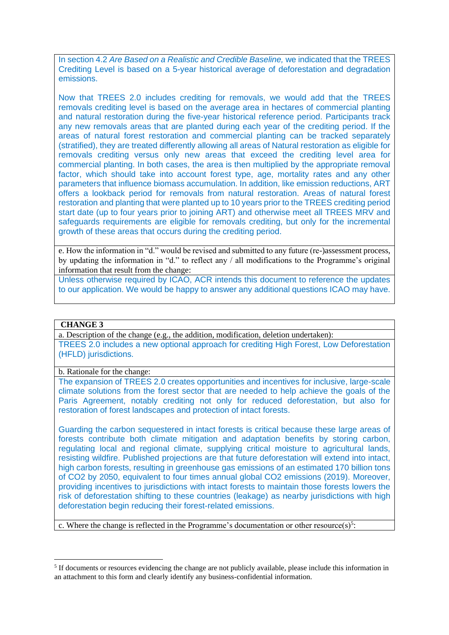In section 4.2 *Are Based on a Realistic and Credible Baseline,* we indicated that the TREES Crediting Level is based on a 5-year historical average of deforestation and degradation emissions.

Now that TREES 2.0 includes crediting for removals, we would add that the TREES removals crediting level is based on the average area in hectares of commercial planting and natural restoration during the five-year historical reference period. Participants track any new removals areas that are planted during each year of the crediting period. If the areas of natural forest restoration and commercial planting can be tracked separately (stratified), they are treated differently allowing all areas of Natural restoration as eligible for removals crediting versus only new areas that exceed the crediting level area for commercial planting. In both cases, the area is then multiplied by the appropriate removal factor, which should take into account forest type, age, mortality rates and any other parameters that influence biomass accumulation. In addition, like emission reductions, ART offers a lookback period for removals from natural restoration. Areas of natural forest restoration and planting that were planted up to 10 years prior to the TREES crediting period start date (up to four years prior to joining ART) and otherwise meet all TREES MRV and safeguards requirements are eligible for removals crediting, but only for the incremental growth of these areas that occurs during the crediting period.

e. How the information in "d." would be revised and submitted to any future (re-)assessment process, by updating the information in "d." to reflect any / all modifications to the Programme's original information that result from the change:

Unless otherwise required by ICAO, ACR intends this document to reference the updates to our application. We would be happy to answer any additional questions ICAO may have.

#### **CHANGE 3**

a. Description of the change (e.g., the addition, modification, deletion undertaken): TREES 2.0 includes a new optional approach for crediting High Forest, Low Deforestation (HFLD) jurisdictions.

b. Rationale for the change:

The expansion of TREES 2.0 creates opportunities and incentives for inclusive, large-scale climate solutions from the forest sector that are needed to help achieve the goals of the Paris Agreement, notably crediting not only for reduced deforestation, but also for restoration of forest landscapes and protection of intact forests.

Guarding the carbon sequestered in intact forests is critical because these large areas of forests contribute both climate mitigation and adaptation benefits by storing carbon, regulating local and regional climate, supplying critical moisture to agricultural lands, resisting wildfire. Published projections are that future deforestation will extend into intact, high carbon forests, resulting in greenhouse gas emissions of an estimated 170 billion tons of CO2 by 2050, equivalent to four times annual global CO2 emissions (2019). Moreover, providing incentives to jurisdictions with intact forests to maintain those forests lowers the risk of deforestation shifting to these countries (leakage) as nearby jurisdictions with high deforestation begin reducing their forest-related emissions.

c. Where the change is reflected in the Programme's documentation or other resource(s)<sup>5</sup>:

<sup>&</sup>lt;sup>5</sup> If documents or resources evidencing the change are not publicly available, please include this information in an attachment to this form and clearly identify any business-confidential information.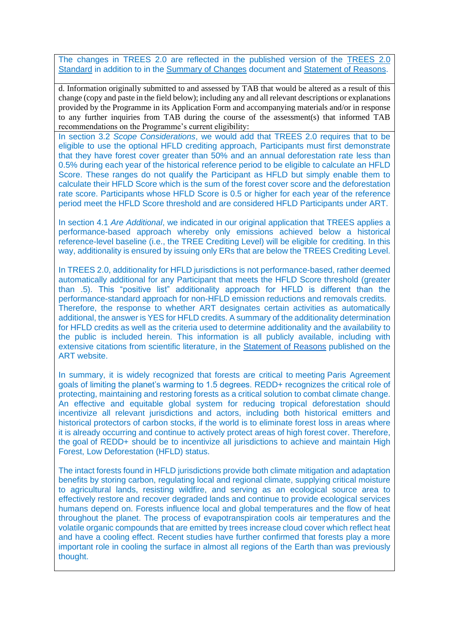The changes in TREES 2.0 are reflected in the published version of the [TREES 2.0](https://www.artredd.org/wp-content/uploads/2021/08/TREES-2.0-August-2021-Clean.pdf)  [Standard](https://www.artredd.org/wp-content/uploads/2021/08/TREES-2.0-August-2021-Clean.pdf) in addition to in the [Summary of Changes](https://www.artredd.org/wp-content/uploads/2021/08/Summary-of-Changes-TREES-2.0-August-2021.pdf) document and [Statement of Reasons.](https://www.artredd.org/wp-content/uploads/2021/08/TREES-2.0-Statement-of-Reasons-August-2021.pdf)

d. Information originally submitted to and assessed by TAB that would be altered as a result of this change (copy and paste in the field below); including any and all relevant descriptions or explanations provided by the Programme in its Application Form and accompanying materials and/or in response to any further inquiries from TAB during the course of the assessment(s) that informed TAB recommendations on the Programme's current eligibility:

In section 3.2 *Scope Considerations*, we would add that TREES 2.0 requires that to be eligible to use the optional HFLD crediting approach, Participants must first demonstrate that they have forest cover greater than 50% and an annual deforestation rate less than 0.5% during each year of the historical reference period to be eligible to calculate an HFLD Score. These ranges do not qualify the Participant as HFLD but simply enable them to calculate their HFLD Score which is the sum of the forest cover score and the deforestation rate score. Participants whose HFLD Score is 0.5 or higher for each year of the reference period meet the HFLD Score threshold and are considered HFLD Participants under ART.

In section 4.1 *Are Additional*, we indicated in our original application that TREES applies a performance-based approach whereby only emissions achieved below a historical reference-level baseline (i.e., the TREE Crediting Level) will be eligible for crediting. In this way, additionality is ensured by issuing only ERs that are below the TREES Crediting Level.

In TREES 2.0, additionality for HFLD jurisdictions is not performance-based, rather deemed automatically additional for any Participant that meets the HFLD Score threshold (greater than .5). This "positive list" additionality approach for HFLD is different than the performance-standard approach for non-HFLD emission reductions and removals credits. Therefore, the response to whether ART designates certain activities as automatically additional, the answer is YES for HFLD credits. A summary of the additionality determination for HFLD credits as well as the criteria used to determine additionality and the availability to the public is included herein. This information is all publicly available, including with extensive citations from scientific literature, in the [Statement of Reasons](https://www.artredd.org/wp-content/uploads/2021/08/TREES-2.0-Statement-of-Reasons-August-2021.pdf) published on the ART website.

In summary, it is widely recognized that forests are critical to meeting Paris Agreement goals of limiting the planet's warming to 1.5 degrees. REDD+ recognizes the critical role of protecting, maintaining and restoring forests as a critical solution to combat climate change. An effective and equitable global system for reducing tropical deforestation should incentivize all relevant jurisdictions and actors, including both historical emitters and historical protectors of carbon stocks, if the world is to eliminate forest loss in areas where it is already occurring and continue to actively protect areas of high forest cover. Therefore, the goal of REDD+ should be to incentivize all jurisdictions to achieve and maintain High Forest, Low Deforestation (HFLD) status.

The intact forests found in HFLD jurisdictions provide both climate mitigation and adaptation benefits by storing carbon, regulating local and regional climate, supplying critical moisture to agricultural lands, resisting wildfire, and serving as an ecological source area to effectively restore and recover degraded lands and continue to provide ecological services humans depend on. Forests influence local and global temperatures and the flow of heat throughout the planet. The process of evapotranspiration cools air temperatures and the volatile organic compounds that are emitted by trees increase cloud cover which reflect heat and have a cooling effect. Recent studies have further confirmed that forests play a more important role in cooling the surface in almost all regions of the Earth than was previously thought.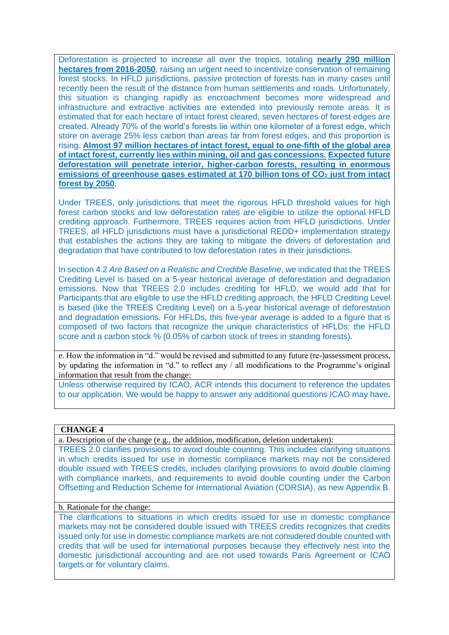Deforestation is projected to increase all over the tropics, totaling **nearly 290 million hectares from 2016-2050**, raising an urgent need to incentivize conservation of remaining forest stocks. In HFLD jurisdictions, passive protection of forests has in many cases until recently been the result of the distance from human settlements and roads. Unfortunately, this situation is changing rapidly as encroachment becomes more widespread and infrastructure and extractive activities are extended into previously remote areas. It is estimated that for each hectare of intact forest cleared, seven hectares of forest edges are created. Already 70% of the world's forests lie within one kilometer of a forest edge, which store on average 25% less carbon than areas far from forest edges, and this proportion is rising. **Almost 97 million hectares of intact forest, equal to one-fifth of the global area of intact forest, currently lies within mining, oil and gas concessions. Expected future deforestation will penetrate interior, higher-carbon forests, resulting in enormous emissions of greenhouse gases estimated at 170 billion tons of CO<sup>2</sup> just from intact forest by 2050**.

Under TREES, only jurisdictions that meet the rigorous HFLD threshold values for high forest carbon stocks and low deforestation rates are eligible to utilize the optional HFLD crediting approach. Furthermore, TREES requires action from HFLD jurisdictions. Under TREES, all HFLD jurisdictions must have a jurisdictional REDD+ implementation strategy that establishes the actions they are taking to mitigate the drivers of deforestation and degradation that have contributed to low deforestation rates in their jurisdictions.

In section 4.2 *Are Based on a Realistic and Credible Baseline*, we indicated that the TREES Crediting Level is based on a 5-year historical average of deforestation and degradation emissions. Now that TREES 2.0 includes crediting for HFLD, we would add that for Participants that are eligible to use the HFLD crediting approach, the HFLD Crediting Level is based (like the TREES Crediting Level) on a 5-year historical average of deforestation and degradation emissions. For HFLDs, this five-year average is added to a figure that is composed of two factors that recognize the unique characteristics of HFLDs: the HFLD score and a carbon stock % (0.05% of carbon stock of trees in standing forests).

e. How the information in "d." would be revised and submitted to any future (re-)assessment process, by updating the information in "d." to reflect any / all modifications to the Programme's original information that result from the change:

Unless otherwise required by ICAO, ACR intends this document to reference the updates to our application. We would be happy to answer any additional questions ICAO may have**.**

#### **CHANGE 4**

a. Description of the change (e.g., the addition, modification, deletion undertaken):

TREES 2.0 clarifies provisions to avoid double counting. This includes clarifying situations in which credits issued for use in domestic compliance markets may not be considered double issued with TREES credits, includes clarifying provisions to avoid double claiming with compliance markets, and requirements to avoid double counting under the Carbon Offsetting and Reduction Scheme for International Aviation (CORSIA), as new Appendix B.

#### b. Rationale for the change:

The clarifications to situations in which credits issued for use in domestic compliance markets may not be considered double issued with TREES credits recognizes that credits issued only for use in domestic compliance markets are not considered double counted with credits that will be used for international purposes because they effectively nest into the domestic jurisdictional accounting and are not used towards Paris Agreement or ICAO targets or for voluntary claims.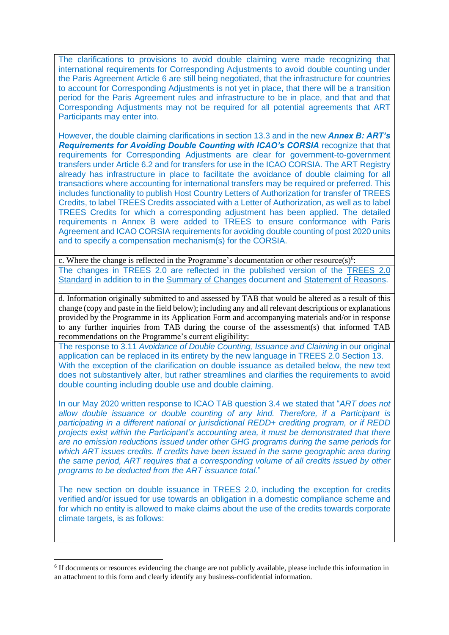The clarifications to provisions to avoid double claiming were made recognizing that international requirements for Corresponding Adjustments to avoid double counting under the Paris Agreement Article 6 are still being negotiated, that the infrastructure for countries to account for Corresponding Adjustments is not yet in place, that there will be a transition period for the Paris Agreement rules and infrastructure to be in place, and that and that Corresponding Adjustments may not be required for all potential agreements that ART Participants may enter into.

However, the double claiming clarifications in section 13.3 and in the new *Annex B: ART's Requirements for Avoiding Double Counting with ICAO's CORSIA recognize that that* requirements for Corresponding Adjustments are clear for government-to-government transfers under Article 6.2 and for transfers for use in the ICAO CORSIA. The ART Registry already has infrastructure in place to facilitate the avoidance of double claiming for all transactions where accounting for international transfers may be required or preferred. This includes functionality to publish Host Country Letters of Authorization for transfer of TREES Credits, to label TREES Credits associated with a Letter of Authorization, as well as to label TREES Credits for which a corresponding adjustment has been applied. The detailed requirements n Annex B were added to TREES to ensure conformance with Paris Agreement and ICAO CORSIA requirements for avoiding double counting of post 2020 units and to specify a compensation mechanism(s) for the CORSIA.

c. Where the change is reflected in the Programme's documentation or other resource(s)<sup>6</sup>: The changes in TREES 2.0 are reflected in the published version of the [TREES 2.0](https://www.artredd.org/wp-content/uploads/2021/08/TREES-2.0-August-2021-Clean.pdf)  [Standard](https://www.artredd.org/wp-content/uploads/2021/08/TREES-2.0-August-2021-Clean.pdf) in addition to in the [Summary of Changes](https://www.artredd.org/wp-content/uploads/2021/08/Summary-of-Changes-TREES-2.0-August-2021.pdf) document and [Statement of Reasons.](https://www.artredd.org/wp-content/uploads/2021/08/TREES-2.0-Statement-of-Reasons-August-2021.pdf)

d. Information originally submitted to and assessed by TAB that would be altered as a result of this change (copy and paste in the field below); including any and all relevant descriptions or explanations provided by the Programme in its Application Form and accompanying materials and/or in response to any further inquiries from TAB during the course of the assessment(s) that informed TAB recommendations on the Programme's current eligibility:

The response to 3.11 *Avoidance of Double Counting, Issuance and Claiming* in our original application can be replaced in its entirety by the new language in TREES 2.0 Section 13. With the exception of the clarification on double issuance as detailed below, the new text does not substantively alter, but rather streamlines and clarifies the requirements to avoid double counting including double use and double claiming.

In our May 2020 written response to ICAO TAB question 3.4 we stated that "*ART does not allow double issuance or double counting of any kind. Therefore, if a Participant is participating in a different national or jurisdictional REDD+ crediting program, or if REDD projects exist within the Participant's accounting area, it must be demonstrated that there are no emission reductions issued under other GHG programs during the same periods for which ART issues credits. If credits have been issued in the same geographic area during the same period, ART requires that a corresponding volume of all credits issued by other programs to be deducted from the ART issuance total*."

The new section on double issuance in TREES 2.0, including the exception for credits verified and/or issued for use towards an obligation in a domestic compliance scheme and for which no entity is allowed to make claims about the use of the credits towards corporate climate targets, is as follows:

<sup>&</sup>lt;sup>6</sup> If documents or resources evidencing the change are not publicly available, please include this information in an attachment to this form and clearly identify any business-confidential information.